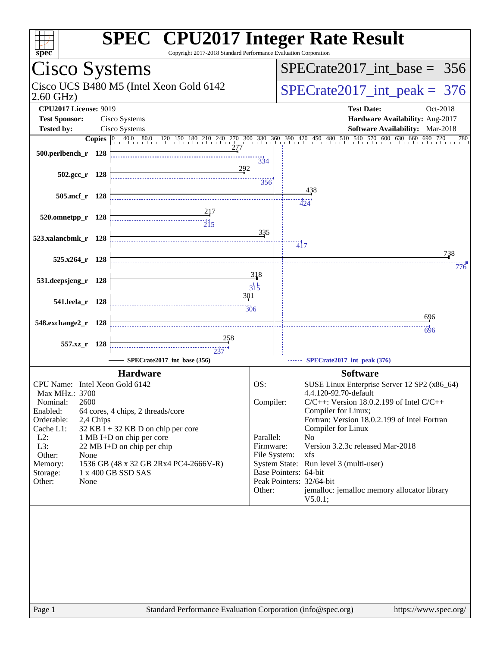| $s\overline{pec}$                                                                                           | <b>SPEC<sup>®</sup> CPU2017 Integer Rate Result</b><br>Copyright 2017-2018 Standard Performance Evaluation Corporation                                                                             |
|-------------------------------------------------------------------------------------------------------------|----------------------------------------------------------------------------------------------------------------------------------------------------------------------------------------------------|
| Cisco Systems                                                                                               | $SPECrate2017$ int base = 356                                                                                                                                                                      |
| Cisco UCS B480 M5 (Intel Xeon Gold 6142<br>$2.60$ GHz)                                                      | $SPECrate2017\_int\_peak = 376$                                                                                                                                                                    |
| <b>CPU2017 License: 9019</b><br><b>Test Sponsor:</b><br>Cisco Systems<br><b>Tested by:</b><br>Cisco Systems | <b>Test Date:</b><br>Oct-2018<br>Hardware Availability: Aug-2017<br>Software Availability: Mar-2018                                                                                                |
|                                                                                                             | <b>Copies</b> $\begin{bmatrix} 0 & 40.0 & 80.0 & 120 & 150 & 180 & 210 & 240 & 270 & 300 & 330 & 360 & 390 & 420 & 450 & 480 & 510 & 540 & 570 & 600 & 630 & 660 & 690 & 720 \end{bmatrix}$<br>780 |
| 277<br>500.perlbench_r 128                                                                                  | $\frac{11}{334}$                                                                                                                                                                                   |
| 292<br>$502.\text{gcc}_r$ 128                                                                               | 356                                                                                                                                                                                                |
| 505.mcf_r 128                                                                                               | 438<br>.<br>424                                                                                                                                                                                    |
| 520.omnetpp_r 128                                                                                           |                                                                                                                                                                                                    |
| 523.xalancbmk_r 128                                                                                         | 335<br>$\frac{1}{4}$                                                                                                                                                                               |
| 525.x264_r 128                                                                                              | 738<br>776                                                                                                                                                                                         |
| 531.deepsjeng_r 128                                                                                         | 318<br>$\frac{11}{315}$                                                                                                                                                                            |
| 301<br>541.leela_r 128                                                                                      | 306                                                                                                                                                                                                |
| 548.exchange2_r 128                                                                                         | 696                                                                                                                                                                                                |
| 557.xz_r 128                                                                                                | 696                                                                                                                                                                                                |
| SPECrate2017_int_base (356)<br><b>Hardware</b>                                                              | SPECrate2017_int_peak (376)<br><b>Software</b>                                                                                                                                                     |
| CPU Name: Intel Xeon Gold 6142<br>Max MHz.: 3700                                                            | OS:<br>SUSE Linux Enterprise Server 12 SP2 (x86_64)<br>4.4.120-92.70-default                                                                                                                       |
| 2600<br>Nominal:                                                                                            | Compiler:<br>$C/C++$ : Version 18.0.2.199 of Intel $C/C++$                                                                                                                                         |
| Enabled:<br>64 cores, 4 chips, 2 threads/core<br>Orderable:<br>2,4 Chips                                    | Compiler for Linux;<br>Fortran: Version 18.0.2.199 of Intel Fortran                                                                                                                                |
| Cache L1:<br>$32$ KB I + 32 KB D on chip per core<br>$L2$ :<br>1 MB I+D on chip per core                    | Compiler for Linux<br>Parallel:<br>No                                                                                                                                                              |
| L3:<br>22 MB I+D on chip per chip<br>Other:<br>None                                                         | Version 3.2.3c released Mar-2018<br>Firmware:<br>File System:<br>xfs                                                                                                                               |
| 1536 GB (48 x 32 GB 2Rx4 PC4-2666V-R)<br>Memory:<br>1 x 400 GB SSD SAS<br>Storage:                          | System State: Run level 3 (multi-user)<br>Base Pointers: 64-bit                                                                                                                                    |
| Other:<br>None                                                                                              | Peak Pointers: 32/64-bit<br>jemalloc: jemalloc memory allocator library<br>Other:                                                                                                                  |
|                                                                                                             | V5.0.1;                                                                                                                                                                                            |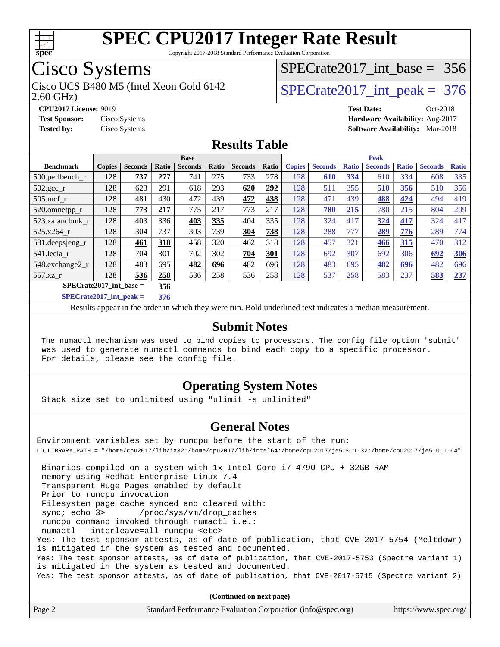

Copyright 2017-2018 Standard Performance Evaluation Corporation

### Cisco Systems

2.60 GHz) Cisco UCS B480 M5 (Intel Xeon Gold 6142  $\vert$  [SPECrate2017\\_int\\_peak =](http://www.spec.org/auto/cpu2017/Docs/result-fields.html#SPECrate2017intpeak) 376

**[CPU2017 License:](http://www.spec.org/auto/cpu2017/Docs/result-fields.html#CPU2017License)** 9019 **[Test Date:](http://www.spec.org/auto/cpu2017/Docs/result-fields.html#TestDate)** Oct-2018

**[Test Sponsor:](http://www.spec.org/auto/cpu2017/Docs/result-fields.html#TestSponsor)** Cisco Systems **[Hardware Availability:](http://www.spec.org/auto/cpu2017/Docs/result-fields.html#HardwareAvailability)** Aug-2017 **[Tested by:](http://www.spec.org/auto/cpu2017/Docs/result-fields.html#Testedby)** Cisco Systems **[Software Availability:](http://www.spec.org/auto/cpu2017/Docs/result-fields.html#SoftwareAvailability)** Mar-2018

[SPECrate2017\\_int\\_base =](http://www.spec.org/auto/cpu2017/Docs/result-fields.html#SPECrate2017intbase) 356

#### **[Results Table](http://www.spec.org/auto/cpu2017/Docs/result-fields.html#ResultsTable)**

|                                                         | <b>Base</b>   |                |                 |                |       | <b>Peak</b>    |       |               |                |              |                |              |                |              |
|---------------------------------------------------------|---------------|----------------|-----------------|----------------|-------|----------------|-------|---------------|----------------|--------------|----------------|--------------|----------------|--------------|
| <b>Benchmark</b>                                        | <b>Copies</b> | <b>Seconds</b> | Ratio           | <b>Seconds</b> | Ratio | <b>Seconds</b> | Ratio | <b>Copies</b> | <b>Seconds</b> | <b>Ratio</b> | <b>Seconds</b> | <b>Ratio</b> | <b>Seconds</b> | <b>Ratio</b> |
| $500.$ perlbench_r                                      | 128           | 737            | 277             | 741            | 275   | 733            | 278   | 128           | 610            | 334          | 610            | 334          | 608            | 335          |
| $502.\text{gcc\_r}$                                     | 128           | 623            | 291             | 618            | 293   | 620            | 292   | 128           | 511            | 355          | 510            | 356          | 510            | 356          |
| $505$ .mcf r                                            | 128           | 481            | 430             | 472            | 439   | 472            | 438   | 128           | 471            | 439          | 488            | 424          | 494            | 419          |
| 520.omnetpp_r                                           | 128           | 773            | 217             | 775            | 217   | 773            | 217   | 128           | 780            | 215          | 780            | 215          | 804            | 209          |
| 523.xalancbmk_r                                         | 128           | 403            | 336             | 403            | 335   | 404            | 335   | 128           | 324            | 417          | 324            | 417          | 324            | 417          |
| 525.x264 r                                              | 128           | 304            | 737             | 303            | 739   | 304            | 738   | 128           | 288            | 777          | 289            | 776          | 289            | 774          |
| 531.deepsjeng_r                                         | 128           | 461            | 318             | 458            | 320   | 462            | 318   | 128           | 457            | 321          | 466            | <u>315</u>   | 470            | 312          |
| 541.leela r                                             | 128           | 704            | 301             | 702            | 302   | 704            | 301   | 128           | 692            | 307          | 692            | 306          | 692            | <b>306</b>   |
| 548.exchange2_r                                         | 128           | 483            | 695             | 482            | 696   | 482            | 696   | 128           | 483            | 695          | 482            | 696          | 482            | 696          |
| 557.xz                                                  | 128           | 536            | 258             | 536            | 258   | 536            | 258   | 128           | 537            | 258          | 583            | 237          | 583            | 237          |
| $SPECrate2017$ int base =                               |               |                | 356             |                |       |                |       |               |                |              |                |              |                |              |
| $CDFC_{\text{soft}}/0.17 \text{ in} \ell \text{ model}$ |               |                | 25 <sub>0</sub> |                |       |                |       |               |                |              |                |              |                |              |

**[SPECrate2017\\_int\\_peak =](http://www.spec.org/auto/cpu2017/Docs/result-fields.html#SPECrate2017intpeak) 376**

Results appear in the [order in which they were run](http://www.spec.org/auto/cpu2017/Docs/result-fields.html#RunOrder). Bold underlined text [indicates a median measurement](http://www.spec.org/auto/cpu2017/Docs/result-fields.html#Median).

#### **[Submit Notes](http://www.spec.org/auto/cpu2017/Docs/result-fields.html#SubmitNotes)**

 The numactl mechanism was used to bind copies to processors. The config file option 'submit' was used to generate numactl commands to bind each copy to a specific processor. For details, please see the config file.

#### **[Operating System Notes](http://www.spec.org/auto/cpu2017/Docs/result-fields.html#OperatingSystemNotes)**

Stack size set to unlimited using "ulimit -s unlimited"

#### **[General Notes](http://www.spec.org/auto/cpu2017/Docs/result-fields.html#GeneralNotes)**

Environment variables set by runcpu before the start of the run: LD\_LIBRARY\_PATH = "/home/cpu2017/lib/ia32:/home/cpu2017/lib/intel64:/home/cpu2017/je5.0.1-32:/home/cpu2017/je5.0.1-64" Binaries compiled on a system with 1x Intel Core i7-4790 CPU + 32GB RAM memory using Redhat Enterprise Linux 7.4 Transparent Huge Pages enabled by default Prior to runcpu invocation Filesystem page cache synced and cleared with: sync; echo 3> /proc/sys/vm/drop\_caches runcpu command invoked through numactl i.e.: numactl --interleave=all runcpu <etc> Yes: The test sponsor attests, as of date of publication, that CVE-2017-5754 (Meltdown) is mitigated in the system as tested and documented. Yes: The test sponsor attests, as of date of publication, that CVE-2017-5753 (Spectre variant 1) is mitigated in the system as tested and documented. Yes: The test sponsor attests, as of date of publication, that CVE-2017-5715 (Spectre variant 2) **(Continued on next page)**

Page 2 Standard Performance Evaluation Corporation [\(info@spec.org\)](mailto:info@spec.org) <https://www.spec.org/>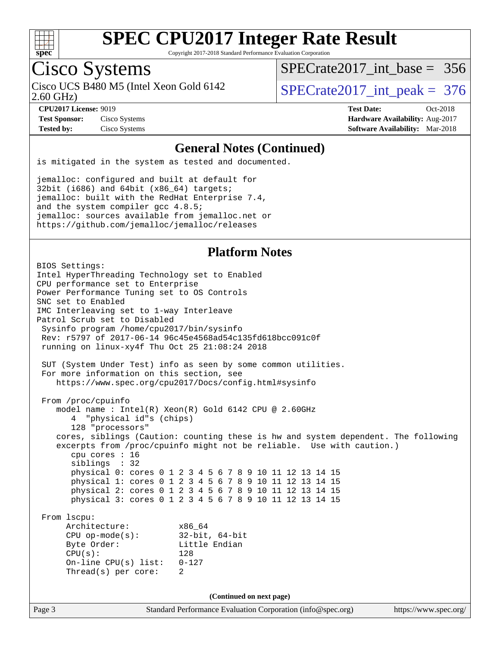

Copyright 2017-2018 Standard Performance Evaluation Corporation

### Cisco Systems

2.60 GHz) Cisco UCS B480 M5 (Intel Xeon Gold 6142  $\vert$  [SPECrate2017\\_int\\_peak =](http://www.spec.org/auto/cpu2017/Docs/result-fields.html#SPECrate2017intpeak) 376

[SPECrate2017\\_int\\_base =](http://www.spec.org/auto/cpu2017/Docs/result-fields.html#SPECrate2017intbase) 356

**[Test Sponsor:](http://www.spec.org/auto/cpu2017/Docs/result-fields.html#TestSponsor)** Cisco Systems **[Hardware Availability:](http://www.spec.org/auto/cpu2017/Docs/result-fields.html#HardwareAvailability)** Aug-2017

**[CPU2017 License:](http://www.spec.org/auto/cpu2017/Docs/result-fields.html#CPU2017License)** 9019 **[Test Date:](http://www.spec.org/auto/cpu2017/Docs/result-fields.html#TestDate)** Oct-2018 **[Tested by:](http://www.spec.org/auto/cpu2017/Docs/result-fields.html#Testedby)** Cisco Systems **[Software Availability:](http://www.spec.org/auto/cpu2017/Docs/result-fields.html#SoftwareAvailability)** Mar-2018

#### **[General Notes \(Continued\)](http://www.spec.org/auto/cpu2017/Docs/result-fields.html#GeneralNotes)**

is mitigated in the system as tested and documented.

jemalloc: configured and built at default for 32bit (i686) and 64bit (x86\_64) targets; jemalloc: built with the RedHat Enterprise 7.4, and the system compiler gcc 4.8.5; jemalloc: sources available from jemalloc.net or <https://github.com/jemalloc/jemalloc/releases>

#### **[Platform Notes](http://www.spec.org/auto/cpu2017/Docs/result-fields.html#PlatformNotes)**

Page 3 Standard Performance Evaluation Corporation [\(info@spec.org\)](mailto:info@spec.org) <https://www.spec.org/> BIOS Settings: Intel HyperThreading Technology set to Enabled CPU performance set to Enterprise Power Performance Tuning set to OS Controls SNC set to Enabled IMC Interleaving set to 1-way Interleave Patrol Scrub set to Disabled Sysinfo program /home/cpu2017/bin/sysinfo Rev: r5797 of 2017-06-14 96c45e4568ad54c135fd618bcc091c0f running on linux-xy4f Thu Oct 25 21:08:24 2018 SUT (System Under Test) info as seen by some common utilities. For more information on this section, see <https://www.spec.org/cpu2017/Docs/config.html#sysinfo> From /proc/cpuinfo model name : Intel(R) Xeon(R) Gold 6142 CPU @ 2.60GHz 4 "physical id"s (chips) 128 "processors" cores, siblings (Caution: counting these is hw and system dependent. The following excerpts from /proc/cpuinfo might not be reliable. Use with caution.) cpu cores : 16 siblings : 32 physical 0: cores 0 1 2 3 4 5 6 7 8 9 10 11 12 13 14 15 physical 1: cores 0 1 2 3 4 5 6 7 8 9 10 11 12 13 14 15 physical 2: cores 0 1 2 3 4 5 6 7 8 9 10 11 12 13 14 15 physical 3: cores 0 1 2 3 4 5 6 7 8 9 10 11 12 13 14 15 From lscpu: Architecture: x86\_64 CPU op-mode(s): 32-bit, 64-bit Byte Order: Little Endian  $CPU(s):$  128 On-line CPU(s) list: 0-127 Thread(s) per core: 2 **(Continued on next page)**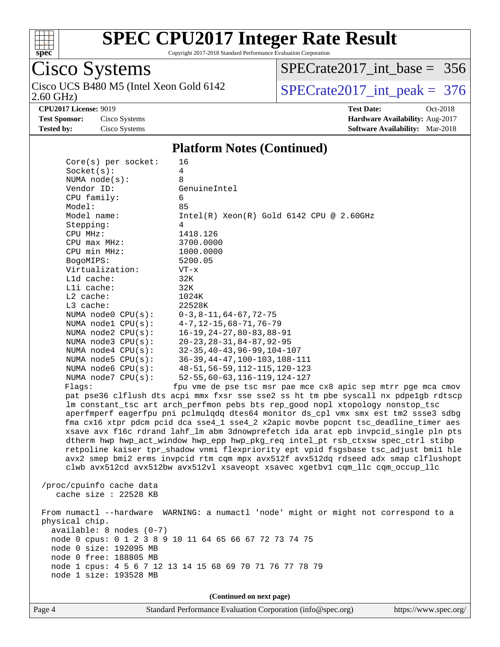

Copyright 2017-2018 Standard Performance Evaluation Corporation

## Cisco Systems

2.60 GHz) Cisco UCS B480 M5 (Intel Xeon Gold 6142  $\boxed{\text{SPECrate2017\_int\_peak = 376}}$ 

[SPECrate2017\\_int\\_base =](http://www.spec.org/auto/cpu2017/Docs/result-fields.html#SPECrate2017intbase) 356

**[Tested by:](http://www.spec.org/auto/cpu2017/Docs/result-fields.html#Testedby)** Cisco Systems **[Software Availability:](http://www.spec.org/auto/cpu2017/Docs/result-fields.html#SoftwareAvailability)** Mar-2018

**[CPU2017 License:](http://www.spec.org/auto/cpu2017/Docs/result-fields.html#CPU2017License)** 9019 **[Test Date:](http://www.spec.org/auto/cpu2017/Docs/result-fields.html#TestDate)** Oct-2018 **[Test Sponsor:](http://www.spec.org/auto/cpu2017/Docs/result-fields.html#TestSponsor)** Cisco Systems **[Hardware Availability:](http://www.spec.org/auto/cpu2017/Docs/result-fields.html#HardwareAvailability)** Aug-2017

#### **[Platform Notes \(Continued\)](http://www.spec.org/auto/cpu2017/Docs/result-fields.html#PlatformNotes)**

| $Core(s)$ per socket:      | 16                                                                                   |
|----------------------------|--------------------------------------------------------------------------------------|
| Socket(s):                 | 4                                                                                    |
| NUMA $node(s):$            | 8                                                                                    |
| Vendor ID:                 | GenuineIntel                                                                         |
| CPU family:                | 6                                                                                    |
| Model:                     | 85                                                                                   |
| Model name:                | $Intel(R)$ Xeon $(R)$ Gold 6142 CPU @ 2.60GHz                                        |
| Stepping:                  | 4                                                                                    |
| CPU MHz:                   | 1418.126                                                                             |
| $CPU$ max $MHz$ :          | 3700.0000                                                                            |
| CPU min MHz:               | 1000.0000                                                                            |
| BogoMIPS:                  | 5200.05                                                                              |
| Virtualization:            | $VT - x$                                                                             |
| L1d cache:                 | 32K                                                                                  |
| Lli cache:                 | 32K                                                                                  |
| $L2$ cache:<br>L3 cache:   | 1024K<br>22528K                                                                      |
| NUMA node0 CPU(s):         |                                                                                      |
| NUMA nodel CPU(s):         | $0-3, 8-11, 64-67, 72-75$<br>$4 - 7, 12 - 15, 68 - 71, 76 - 79$                      |
| NUMA $node2$ $CPU(s):$     | $16 - 19, 24 - 27, 80 - 83, 88 - 91$                                                 |
| NUMA $node3$ $CPU(s):$     | $20 - 23, 28 - 31, 84 - 87, 92 - 95$                                                 |
| NUMA $node4$ $CPU(s):$     | $32 - 35, 40 - 43, 96 - 99, 104 - 107$                                               |
| NUMA $node5$ CPU $(s)$ :   | $36 - 39, 44 - 47, 100 - 103, 108 - 111$                                             |
| NUMA node6 CPU(s):         | 48-51, 56-59, 112-115, 120-123                                                       |
| NUMA node7 CPU(s):         | $52 - 55, 60 - 63, 116 - 119, 124 - 127$                                             |
| Flagg:                     | fpu vme de pse tsc msr pae mce cx8 apic sep mtrr pge mca cmov                        |
|                            | pat pse36 clflush dts acpi mmx fxsr sse sse2 ss ht tm pbe syscall nx pdpelgb rdtscp  |
|                            | lm constant_tsc art arch_perfmon pebs bts rep_good nopl xtopology nonstop_tsc        |
|                            | aperfmperf eagerfpu pni pclmulqdq dtes64 monitor ds_cpl vmx smx est tm2 ssse3 sdbg   |
|                            | fma cx16 xtpr pdcm pcid dca sse4_1 sse4_2 x2apic movbe popcnt tsc_deadline_timer aes |
|                            | xsave avx f16c rdrand lahf_lm abm 3dnowprefetch ida arat epb invpcid_single pln pts  |
|                            | dtherm hwp hwp_act_window hwp_epp hwp_pkg_req intel_pt rsb_ctxsw spec_ctrl stibp     |
|                            | retpoline kaiser tpr_shadow vnmi flexpriority ept vpid fsgsbase tsc_adjust bmil hle  |
|                            | avx2 smep bmi2 erms invpcid rtm cqm mpx avx512f avx512dq rdseed adx smap clflushopt  |
|                            | clwb avx512cd avx512bw avx512vl xsaveopt xsavec xgetbvl cqm_llc cqm_occup_llc        |
|                            |                                                                                      |
| /proc/cpuinfo cache data   |                                                                                      |
| cache size : $22528$ KB    |                                                                                      |
|                            |                                                                                      |
|                            | From numactl --hardware WARNING: a numactl 'node' might or might not correspond to a |
| physical chip.             |                                                                                      |
| $available: 8 nodes (0-7)$ |                                                                                      |
|                            | node 0 cpus: 0 1 2 3 8 9 10 11 64 65 66 67 72 73 74 75                               |
| node 0 size: 192095 MB     |                                                                                      |
| node 0 free: 188805 MB     |                                                                                      |
|                            | node 1 cpus: 4 5 6 7 12 13 14 15 68 69 70 71 76 77 78 79                             |
| node 1 size: 193528 MB     |                                                                                      |
|                            |                                                                                      |
|                            | (Continued on next page)                                                             |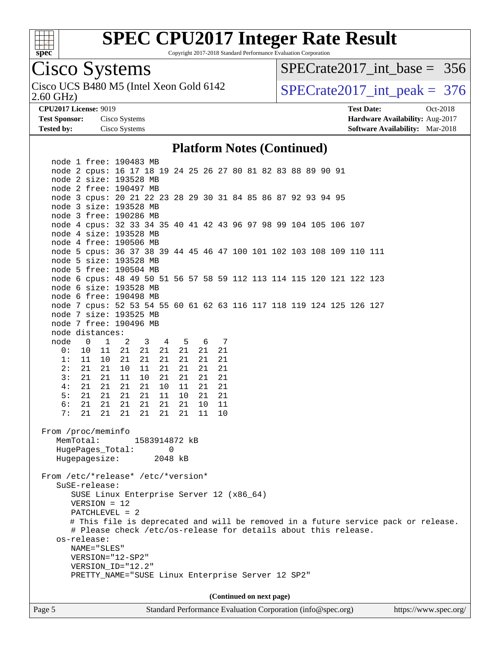

Copyright 2017-2018 Standard Performance Evaluation Corporation

### Cisco Systems

2.60 GHz) Cisco UCS B480 M5 (Intel Xeon Gold 6142  $\vert$  [SPECrate2017\\_int\\_peak =](http://www.spec.org/auto/cpu2017/Docs/result-fields.html#SPECrate2017intpeak) 376

[SPECrate2017\\_int\\_base =](http://www.spec.org/auto/cpu2017/Docs/result-fields.html#SPECrate2017intbase) 356

**[Tested by:](http://www.spec.org/auto/cpu2017/Docs/result-fields.html#Testedby)** Cisco Systems **[Software Availability:](http://www.spec.org/auto/cpu2017/Docs/result-fields.html#SoftwareAvailability)** Mar-2018

**[CPU2017 License:](http://www.spec.org/auto/cpu2017/Docs/result-fields.html#CPU2017License)** 9019 **[Test Date:](http://www.spec.org/auto/cpu2017/Docs/result-fields.html#TestDate)** Oct-2018 **[Test Sponsor:](http://www.spec.org/auto/cpu2017/Docs/result-fields.html#TestSponsor)** Cisco Systems **[Hardware Availability:](http://www.spec.org/auto/cpu2017/Docs/result-fields.html#HardwareAvailability)** Aug-2017

#### **[Platform Notes \(Continued\)](http://www.spec.org/auto/cpu2017/Docs/result-fields.html#PlatformNotes)**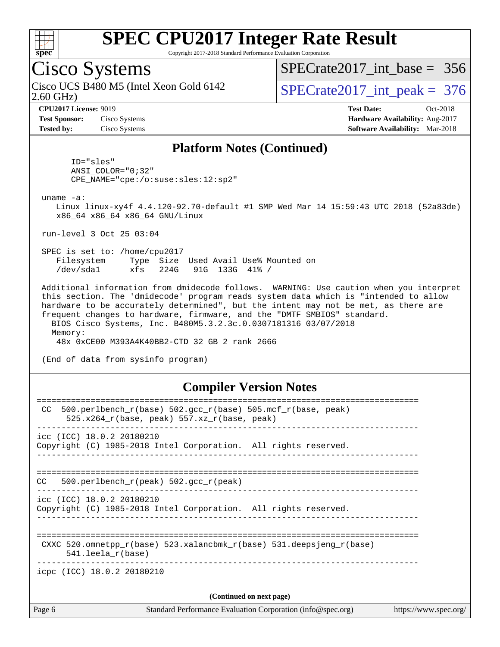

Copyright 2017-2018 Standard Performance Evaluation Corporation

### Cisco Systems

2.60 GHz) Cisco UCS B480 M5 (Intel Xeon Gold 6142  $\vert$  [SPECrate2017\\_int\\_peak =](http://www.spec.org/auto/cpu2017/Docs/result-fields.html#SPECrate2017intpeak) 376

[SPECrate2017\\_int\\_base =](http://www.spec.org/auto/cpu2017/Docs/result-fields.html#SPECrate2017intbase) 356

**[Test Sponsor:](http://www.spec.org/auto/cpu2017/Docs/result-fields.html#TestSponsor)** Cisco Systems **[Hardware Availability:](http://www.spec.org/auto/cpu2017/Docs/result-fields.html#HardwareAvailability)** Aug-2017

**[CPU2017 License:](http://www.spec.org/auto/cpu2017/Docs/result-fields.html#CPU2017License)** 9019 **[Test Date:](http://www.spec.org/auto/cpu2017/Docs/result-fields.html#TestDate)** Oct-2018 **[Tested by:](http://www.spec.org/auto/cpu2017/Docs/result-fields.html#Testedby)** Cisco Systems **[Software Availability:](http://www.spec.org/auto/cpu2017/Docs/result-fields.html#SoftwareAvailability)** Mar-2018

#### **[Platform Notes \(Continued\)](http://www.spec.org/auto/cpu2017/Docs/result-fields.html#PlatformNotes)**

 ID="sles" ANSI\_COLOR="0;32" CPE\_NAME="cpe:/o:suse:sles:12:sp2"

uname -a:

 Linux linux-xy4f 4.4.120-92.70-default #1 SMP Wed Mar 14 15:59:43 UTC 2018 (52a83de) x86\_64 x86\_64 x86\_64 GNU/Linux

run-level 3 Oct 25 03:04

 SPEC is set to: /home/cpu2017 Filesystem Type Size Used Avail Use% Mounted on /dev/sda1 xfs 224G 91G 133G 41% /

 Additional information from dmidecode follows. WARNING: Use caution when you interpret this section. The 'dmidecode' program reads system data which is "intended to allow hardware to be accurately determined", but the intent may not be met, as there are frequent changes to hardware, firmware, and the "DMTF SMBIOS" standard. BIOS Cisco Systems, Inc. B480M5.3.2.3c.0.0307181316 03/07/2018 Memory:

48x 0xCE00 M393A4K40BB2-CTD 32 GB 2 rank 2666

(End of data from sysinfo program)

#### **[Compiler Version Notes](http://www.spec.org/auto/cpu2017/Docs/result-fields.html#CompilerVersionNotes)**

| Page 6                                                                                                | Standard Performance Evaluation Corporation (info@spec.org)<br>https://www.spec.org/ |
|-------------------------------------------------------------------------------------------------------|--------------------------------------------------------------------------------------|
|                                                                                                       | (Continued on next page)                                                             |
| icpc (ICC) 18.0.2 20180210                                                                            |                                                                                      |
| $541.$ leela r(base)                                                                                  | CXXC 520.omnetpp $r(base)$ 523.xalancbmk $r(base)$ 531.deepsjeng $r(base)$           |
| $\text{icc}$ (ICC) 18.0.2 20180210<br>Copyright (C) 1985-2018 Intel Corporation. All rights reserved. |                                                                                      |
| 500.perlbench $r(\text{peak})$ 502.gcc $r(\text{peak})$<br>CC.                                        |                                                                                      |
| icc (ICC) 18.0.2 20180210<br>Copyright (C) 1985-2018 Intel Corporation. All rights reserved.          |                                                                                      |
| CC.<br>525.x264 $r(base, peak)$ 557.xz $r(base, peak)$                                                | $500. perlbench_r(base) 502. gcc_r(base) 505.mcf_r(base, peak)$                      |
|                                                                                                       |                                                                                      |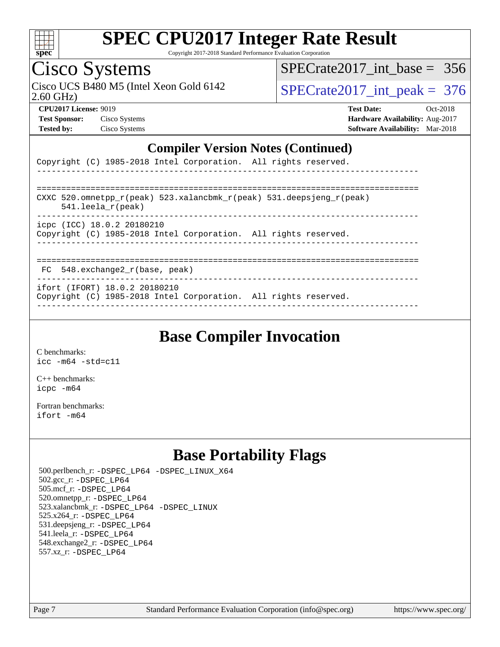

Copyright 2017-2018 Standard Performance Evaluation Corporation

## Cisco Systems

2.60 GHz) Cisco UCS B480 M5 (Intel Xeon Gold 6142  $\vert$  SPECrate 2017\_int\_peak = 376

[SPECrate2017\\_int\\_base =](http://www.spec.org/auto/cpu2017/Docs/result-fields.html#SPECrate2017intbase) 356

| <b>Test Sponsor:</b> | Cisco Systems |
|----------------------|---------------|
| <b>Tested by:</b>    | Cisco Systems |

**[CPU2017 License:](http://www.spec.org/auto/cpu2017/Docs/result-fields.html#CPU2017License)** 9019 **[Test Date:](http://www.spec.org/auto/cpu2017/Docs/result-fields.html#TestDate)** Oct-2018 **[Hardware Availability:](http://www.spec.org/auto/cpu2017/Docs/result-fields.html#HardwareAvailability)** Aug-2017 **[Software Availability:](http://www.spec.org/auto/cpu2017/Docs/result-fields.html#SoftwareAvailability)** Mar-2018

#### **[Compiler Version Notes \(Continued\)](http://www.spec.org/auto/cpu2017/Docs/result-fields.html#CompilerVersionNotes)**

|  |  | Copyright (C) 1985-2018 Intel Corporation. All rights reserved. |  |
|--|--|-----------------------------------------------------------------|--|
|  |  |                                                                 |  |

| CXXC 520.omnetpp $r(\text{peak})$ 523.xalancbmk $r(\text{peak})$ 531.deepsjeng $r(\text{peak})$<br>$541.$ leela r(peak) |
|-------------------------------------------------------------------------------------------------------------------------|
| icpc (ICC) 18.0.2 20180210<br>Copyright (C) 1985-2018 Intel Corporation. All rights reserved.                           |
|                                                                                                                         |

FC 548.exchange2\_r(base, peak)

------------------------------------------------------------------------------

ifort (IFORT) 18.0.2 20180210

Copyright (C) 1985-2018 Intel Corporation. All rights reserved. ------------------------------------------------------------------------------

### **[Base Compiler Invocation](http://www.spec.org/auto/cpu2017/Docs/result-fields.html#BaseCompilerInvocation)**

[C benchmarks](http://www.spec.org/auto/cpu2017/Docs/result-fields.html#Cbenchmarks): [icc -m64 -std=c11](http://www.spec.org/cpu2017/results/res2018q4/cpu2017-20181113-09814.flags.html#user_CCbase_intel_icc_64bit_c11_33ee0cdaae7deeeab2a9725423ba97205ce30f63b9926c2519791662299b76a0318f32ddfffdc46587804de3178b4f9328c46fa7c2b0cd779d7a61945c91cd35)

[C++ benchmarks:](http://www.spec.org/auto/cpu2017/Docs/result-fields.html#CXXbenchmarks) [icpc -m64](http://www.spec.org/cpu2017/results/res2018q4/cpu2017-20181113-09814.flags.html#user_CXXbase_intel_icpc_64bit_4ecb2543ae3f1412ef961e0650ca070fec7b7afdcd6ed48761b84423119d1bf6bdf5cad15b44d48e7256388bc77273b966e5eb805aefd121eb22e9299b2ec9d9)

[Fortran benchmarks](http://www.spec.org/auto/cpu2017/Docs/result-fields.html#Fortranbenchmarks): [ifort -m64](http://www.spec.org/cpu2017/results/res2018q4/cpu2017-20181113-09814.flags.html#user_FCbase_intel_ifort_64bit_24f2bb282fbaeffd6157abe4f878425411749daecae9a33200eee2bee2fe76f3b89351d69a8130dd5949958ce389cf37ff59a95e7a40d588e8d3a57e0c3fd751)

### **[Base Portability Flags](http://www.spec.org/auto/cpu2017/Docs/result-fields.html#BasePortabilityFlags)**

 500.perlbench\_r: [-DSPEC\\_LP64](http://www.spec.org/cpu2017/results/res2018q4/cpu2017-20181113-09814.flags.html#b500.perlbench_r_basePORTABILITY_DSPEC_LP64) [-DSPEC\\_LINUX\\_X64](http://www.spec.org/cpu2017/results/res2018q4/cpu2017-20181113-09814.flags.html#b500.perlbench_r_baseCPORTABILITY_DSPEC_LINUX_X64) 502.gcc\_r: [-DSPEC\\_LP64](http://www.spec.org/cpu2017/results/res2018q4/cpu2017-20181113-09814.flags.html#suite_basePORTABILITY502_gcc_r_DSPEC_LP64) 505.mcf\_r: [-DSPEC\\_LP64](http://www.spec.org/cpu2017/results/res2018q4/cpu2017-20181113-09814.flags.html#suite_basePORTABILITY505_mcf_r_DSPEC_LP64) 520.omnetpp\_r: [-DSPEC\\_LP64](http://www.spec.org/cpu2017/results/res2018q4/cpu2017-20181113-09814.flags.html#suite_basePORTABILITY520_omnetpp_r_DSPEC_LP64) 523.xalancbmk\_r: [-DSPEC\\_LP64](http://www.spec.org/cpu2017/results/res2018q4/cpu2017-20181113-09814.flags.html#suite_basePORTABILITY523_xalancbmk_r_DSPEC_LP64) [-DSPEC\\_LINUX](http://www.spec.org/cpu2017/results/res2018q4/cpu2017-20181113-09814.flags.html#b523.xalancbmk_r_baseCXXPORTABILITY_DSPEC_LINUX) 525.x264\_r: [-DSPEC\\_LP64](http://www.spec.org/cpu2017/results/res2018q4/cpu2017-20181113-09814.flags.html#suite_basePORTABILITY525_x264_r_DSPEC_LP64) 531.deepsjeng\_r: [-DSPEC\\_LP64](http://www.spec.org/cpu2017/results/res2018q4/cpu2017-20181113-09814.flags.html#suite_basePORTABILITY531_deepsjeng_r_DSPEC_LP64) 541.leela\_r: [-DSPEC\\_LP64](http://www.spec.org/cpu2017/results/res2018q4/cpu2017-20181113-09814.flags.html#suite_basePORTABILITY541_leela_r_DSPEC_LP64) 548.exchange2\_r: [-DSPEC\\_LP64](http://www.spec.org/cpu2017/results/res2018q4/cpu2017-20181113-09814.flags.html#suite_basePORTABILITY548_exchange2_r_DSPEC_LP64) 557.xz\_r: [-DSPEC\\_LP64](http://www.spec.org/cpu2017/results/res2018q4/cpu2017-20181113-09814.flags.html#suite_basePORTABILITY557_xz_r_DSPEC_LP64)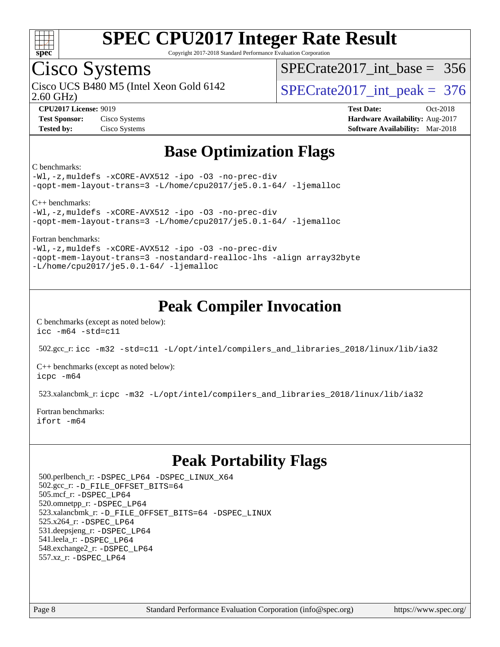

Copyright 2017-2018 Standard Performance Evaluation Corporation

### Cisco Systems

Cisco UCS B480 M5 (Intel Xeon Gold 6142  $\vert$  [SPECrate2017\\_int\\_peak =](http://www.spec.org/auto/cpu2017/Docs/result-fields.html#SPECrate2017intpeak) 376

 $SPECrate2017\_int\_base = 356$ 

2.60 GHz)

**[CPU2017 License:](http://www.spec.org/auto/cpu2017/Docs/result-fields.html#CPU2017License)** 9019 **[Test Date:](http://www.spec.org/auto/cpu2017/Docs/result-fields.html#TestDate)** Oct-2018 **[Test Sponsor:](http://www.spec.org/auto/cpu2017/Docs/result-fields.html#TestSponsor)** Cisco Systems **[Hardware Availability:](http://www.spec.org/auto/cpu2017/Docs/result-fields.html#HardwareAvailability)** Aug-2017 **[Tested by:](http://www.spec.org/auto/cpu2017/Docs/result-fields.html#Testedby)** Cisco Systems **[Software Availability:](http://www.spec.org/auto/cpu2017/Docs/result-fields.html#SoftwareAvailability)** Mar-2018

### **[Base Optimization Flags](http://www.spec.org/auto/cpu2017/Docs/result-fields.html#BaseOptimizationFlags)**

[C benchmarks:](http://www.spec.org/auto/cpu2017/Docs/result-fields.html#Cbenchmarks)

[-Wl,-z,muldefs](http://www.spec.org/cpu2017/results/res2018q4/cpu2017-20181113-09814.flags.html#user_CCbase_link_force_multiple1_b4cbdb97b34bdee9ceefcfe54f4c8ea74255f0b02a4b23e853cdb0e18eb4525ac79b5a88067c842dd0ee6996c24547a27a4b99331201badda8798ef8a743f577) [-xCORE-AVX512](http://www.spec.org/cpu2017/results/res2018q4/cpu2017-20181113-09814.flags.html#user_CCbase_f-xCORE-AVX512) [-ipo](http://www.spec.org/cpu2017/results/res2018q4/cpu2017-20181113-09814.flags.html#user_CCbase_f-ipo) [-O3](http://www.spec.org/cpu2017/results/res2018q4/cpu2017-20181113-09814.flags.html#user_CCbase_f-O3) [-no-prec-div](http://www.spec.org/cpu2017/results/res2018q4/cpu2017-20181113-09814.flags.html#user_CCbase_f-no-prec-div) [-qopt-mem-layout-trans=3](http://www.spec.org/cpu2017/results/res2018q4/cpu2017-20181113-09814.flags.html#user_CCbase_f-qopt-mem-layout-trans_de80db37974c74b1f0e20d883f0b675c88c3b01e9d123adea9b28688d64333345fb62bc4a798493513fdb68f60282f9a726aa07f478b2f7113531aecce732043) [-L/home/cpu2017/je5.0.1-64/](http://www.spec.org/cpu2017/results/res2018q4/cpu2017-20181113-09814.flags.html#user_CCbase_jemalloc_link_path64_8e927a5f1bdac0405e66c637541874330e08086b5e62a1d024bcf3497e3c64fd173c8afb7d1730d51f6da781ef4c439bdab468bb8364cf71435e0c609fac500c) [-ljemalloc](http://www.spec.org/cpu2017/results/res2018q4/cpu2017-20181113-09814.flags.html#user_CCbase_jemalloc_link_lib_d1249b907c500fa1c0672f44f562e3d0f79738ae9e3c4a9c376d49f265a04b9c99b167ecedbf6711b3085be911c67ff61f150a17b3472be731631ba4d0471706)

[C++ benchmarks](http://www.spec.org/auto/cpu2017/Docs/result-fields.html#CXXbenchmarks):

[-Wl,-z,muldefs](http://www.spec.org/cpu2017/results/res2018q4/cpu2017-20181113-09814.flags.html#user_CXXbase_link_force_multiple1_b4cbdb97b34bdee9ceefcfe54f4c8ea74255f0b02a4b23e853cdb0e18eb4525ac79b5a88067c842dd0ee6996c24547a27a4b99331201badda8798ef8a743f577) [-xCORE-AVX512](http://www.spec.org/cpu2017/results/res2018q4/cpu2017-20181113-09814.flags.html#user_CXXbase_f-xCORE-AVX512) [-ipo](http://www.spec.org/cpu2017/results/res2018q4/cpu2017-20181113-09814.flags.html#user_CXXbase_f-ipo) [-O3](http://www.spec.org/cpu2017/results/res2018q4/cpu2017-20181113-09814.flags.html#user_CXXbase_f-O3) [-no-prec-div](http://www.spec.org/cpu2017/results/res2018q4/cpu2017-20181113-09814.flags.html#user_CXXbase_f-no-prec-div) [-qopt-mem-layout-trans=3](http://www.spec.org/cpu2017/results/res2018q4/cpu2017-20181113-09814.flags.html#user_CXXbase_f-qopt-mem-layout-trans_de80db37974c74b1f0e20d883f0b675c88c3b01e9d123adea9b28688d64333345fb62bc4a798493513fdb68f60282f9a726aa07f478b2f7113531aecce732043) [-L/home/cpu2017/je5.0.1-64/](http://www.spec.org/cpu2017/results/res2018q4/cpu2017-20181113-09814.flags.html#user_CXXbase_jemalloc_link_path64_8e927a5f1bdac0405e66c637541874330e08086b5e62a1d024bcf3497e3c64fd173c8afb7d1730d51f6da781ef4c439bdab468bb8364cf71435e0c609fac500c) [-ljemalloc](http://www.spec.org/cpu2017/results/res2018q4/cpu2017-20181113-09814.flags.html#user_CXXbase_jemalloc_link_lib_d1249b907c500fa1c0672f44f562e3d0f79738ae9e3c4a9c376d49f265a04b9c99b167ecedbf6711b3085be911c67ff61f150a17b3472be731631ba4d0471706)

[Fortran benchmarks:](http://www.spec.org/auto/cpu2017/Docs/result-fields.html#Fortranbenchmarks)

[-Wl,-z,muldefs](http://www.spec.org/cpu2017/results/res2018q4/cpu2017-20181113-09814.flags.html#user_FCbase_link_force_multiple1_b4cbdb97b34bdee9ceefcfe54f4c8ea74255f0b02a4b23e853cdb0e18eb4525ac79b5a88067c842dd0ee6996c24547a27a4b99331201badda8798ef8a743f577) [-xCORE-AVX512](http://www.spec.org/cpu2017/results/res2018q4/cpu2017-20181113-09814.flags.html#user_FCbase_f-xCORE-AVX512) [-ipo](http://www.spec.org/cpu2017/results/res2018q4/cpu2017-20181113-09814.flags.html#user_FCbase_f-ipo) [-O3](http://www.spec.org/cpu2017/results/res2018q4/cpu2017-20181113-09814.flags.html#user_FCbase_f-O3) [-no-prec-div](http://www.spec.org/cpu2017/results/res2018q4/cpu2017-20181113-09814.flags.html#user_FCbase_f-no-prec-div) [-qopt-mem-layout-trans=3](http://www.spec.org/cpu2017/results/res2018q4/cpu2017-20181113-09814.flags.html#user_FCbase_f-qopt-mem-layout-trans_de80db37974c74b1f0e20d883f0b675c88c3b01e9d123adea9b28688d64333345fb62bc4a798493513fdb68f60282f9a726aa07f478b2f7113531aecce732043) [-nostandard-realloc-lhs](http://www.spec.org/cpu2017/results/res2018q4/cpu2017-20181113-09814.flags.html#user_FCbase_f_2003_std_realloc_82b4557e90729c0f113870c07e44d33d6f5a304b4f63d4c15d2d0f1fab99f5daaed73bdb9275d9ae411527f28b936061aa8b9c8f2d63842963b95c9dd6426b8a) [-align array32byte](http://www.spec.org/cpu2017/results/res2018q4/cpu2017-20181113-09814.flags.html#user_FCbase_align_array32byte_b982fe038af199962ba9a80c053b8342c548c85b40b8e86eb3cc33dee0d7986a4af373ac2d51c3f7cf710a18d62fdce2948f201cd044323541f22fc0fffc51b6) [-L/home/cpu2017/je5.0.1-64/](http://www.spec.org/cpu2017/results/res2018q4/cpu2017-20181113-09814.flags.html#user_FCbase_jemalloc_link_path64_8e927a5f1bdac0405e66c637541874330e08086b5e62a1d024bcf3497e3c64fd173c8afb7d1730d51f6da781ef4c439bdab468bb8364cf71435e0c609fac500c) [-ljemalloc](http://www.spec.org/cpu2017/results/res2018q4/cpu2017-20181113-09814.flags.html#user_FCbase_jemalloc_link_lib_d1249b907c500fa1c0672f44f562e3d0f79738ae9e3c4a9c376d49f265a04b9c99b167ecedbf6711b3085be911c67ff61f150a17b3472be731631ba4d0471706)

### **[Peak Compiler Invocation](http://www.spec.org/auto/cpu2017/Docs/result-fields.html#PeakCompilerInvocation)**

[C benchmarks \(except as noted below\)](http://www.spec.org/auto/cpu2017/Docs/result-fields.html#Cbenchmarksexceptasnotedbelow): [icc -m64 -std=c11](http://www.spec.org/cpu2017/results/res2018q4/cpu2017-20181113-09814.flags.html#user_CCpeak_intel_icc_64bit_c11_33ee0cdaae7deeeab2a9725423ba97205ce30f63b9926c2519791662299b76a0318f32ddfffdc46587804de3178b4f9328c46fa7c2b0cd779d7a61945c91cd35)

502.gcc\_r: [icc -m32 -std=c11 -L/opt/intel/compilers\\_and\\_libraries\\_2018/linux/lib/ia32](http://www.spec.org/cpu2017/results/res2018q4/cpu2017-20181113-09814.flags.html#user_peakCCLD502_gcc_r_intel_icc_2aadaa14f62c0e1495cde6f74ba3d875dfbad9f2fd73ceb1e5b66a7d4b19dc13cfe8615ba85624bf35f0c003544b7d55013bf72425d956b559f9a2757f69c910)

[C++ benchmarks \(except as noted below\):](http://www.spec.org/auto/cpu2017/Docs/result-fields.html#CXXbenchmarksexceptasnotedbelow) [icpc -m64](http://www.spec.org/cpu2017/results/res2018q4/cpu2017-20181113-09814.flags.html#user_CXXpeak_intel_icpc_64bit_4ecb2543ae3f1412ef961e0650ca070fec7b7afdcd6ed48761b84423119d1bf6bdf5cad15b44d48e7256388bc77273b966e5eb805aefd121eb22e9299b2ec9d9)

523.xalancbmk\_r: [icpc -m32 -L/opt/intel/compilers\\_and\\_libraries\\_2018/linux/lib/ia32](http://www.spec.org/cpu2017/results/res2018q4/cpu2017-20181113-09814.flags.html#user_peakCXXLD523_xalancbmk_r_intel_icpc_49b8c4a2e52517df5e44233d8730ac3dfca5acbb5ef11df3347e50260a55109134bcb7fd2e543798dfd93e66566a4e08776ad3f7d40a4ff4276870c090f61f0e)

[Fortran benchmarks](http://www.spec.org/auto/cpu2017/Docs/result-fields.html#Fortranbenchmarks): [ifort -m64](http://www.spec.org/cpu2017/results/res2018q4/cpu2017-20181113-09814.flags.html#user_FCpeak_intel_ifort_64bit_24f2bb282fbaeffd6157abe4f878425411749daecae9a33200eee2bee2fe76f3b89351d69a8130dd5949958ce389cf37ff59a95e7a40d588e8d3a57e0c3fd751)

### **[Peak Portability Flags](http://www.spec.org/auto/cpu2017/Docs/result-fields.html#PeakPortabilityFlags)**

 500.perlbench\_r: [-DSPEC\\_LP64](http://www.spec.org/cpu2017/results/res2018q4/cpu2017-20181113-09814.flags.html#b500.perlbench_r_peakPORTABILITY_DSPEC_LP64) [-DSPEC\\_LINUX\\_X64](http://www.spec.org/cpu2017/results/res2018q4/cpu2017-20181113-09814.flags.html#b500.perlbench_r_peakCPORTABILITY_DSPEC_LINUX_X64) 502.gcc\_r: [-D\\_FILE\\_OFFSET\\_BITS=64](http://www.spec.org/cpu2017/results/res2018q4/cpu2017-20181113-09814.flags.html#user_peakPORTABILITY502_gcc_r_file_offset_bits_64_5ae949a99b284ddf4e95728d47cb0843d81b2eb0e18bdfe74bbf0f61d0b064f4bda2f10ea5eb90e1dcab0e84dbc592acfc5018bc955c18609f94ddb8d550002c) 505.mcf\_r: [-DSPEC\\_LP64](http://www.spec.org/cpu2017/results/res2018q4/cpu2017-20181113-09814.flags.html#suite_peakPORTABILITY505_mcf_r_DSPEC_LP64) 520.omnetpp\_r: [-DSPEC\\_LP64](http://www.spec.org/cpu2017/results/res2018q4/cpu2017-20181113-09814.flags.html#suite_peakPORTABILITY520_omnetpp_r_DSPEC_LP64) 523.xalancbmk\_r: [-D\\_FILE\\_OFFSET\\_BITS=64](http://www.spec.org/cpu2017/results/res2018q4/cpu2017-20181113-09814.flags.html#user_peakPORTABILITY523_xalancbmk_r_file_offset_bits_64_5ae949a99b284ddf4e95728d47cb0843d81b2eb0e18bdfe74bbf0f61d0b064f4bda2f10ea5eb90e1dcab0e84dbc592acfc5018bc955c18609f94ddb8d550002c) [-DSPEC\\_LINUX](http://www.spec.org/cpu2017/results/res2018q4/cpu2017-20181113-09814.flags.html#b523.xalancbmk_r_peakCXXPORTABILITY_DSPEC_LINUX) 525.x264\_r: [-DSPEC\\_LP64](http://www.spec.org/cpu2017/results/res2018q4/cpu2017-20181113-09814.flags.html#suite_peakPORTABILITY525_x264_r_DSPEC_LP64) 531.deepsjeng\_r: [-DSPEC\\_LP64](http://www.spec.org/cpu2017/results/res2018q4/cpu2017-20181113-09814.flags.html#suite_peakPORTABILITY531_deepsjeng_r_DSPEC_LP64) 541.leela\_r: [-DSPEC\\_LP64](http://www.spec.org/cpu2017/results/res2018q4/cpu2017-20181113-09814.flags.html#suite_peakPORTABILITY541_leela_r_DSPEC_LP64) 548.exchange2\_r: [-DSPEC\\_LP64](http://www.spec.org/cpu2017/results/res2018q4/cpu2017-20181113-09814.flags.html#suite_peakPORTABILITY548_exchange2_r_DSPEC_LP64) 557.xz\_r: [-DSPEC\\_LP64](http://www.spec.org/cpu2017/results/res2018q4/cpu2017-20181113-09814.flags.html#suite_peakPORTABILITY557_xz_r_DSPEC_LP64)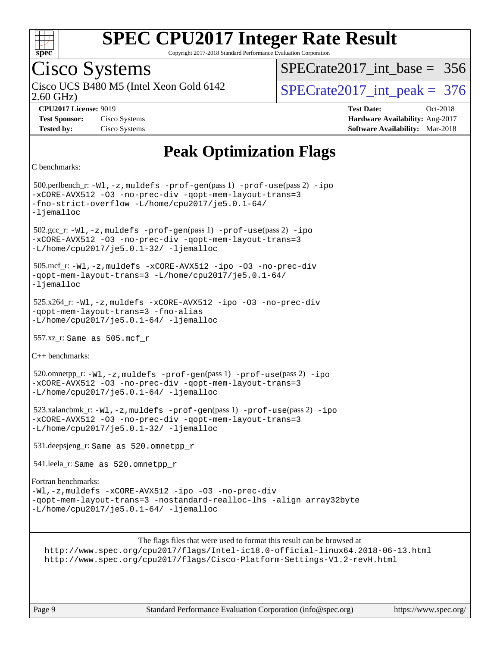

Copyright 2017-2018 Standard Performance Evaluation Corporation

### Cisco Systems

2.60 GHz) Cisco UCS B480 M5 (Intel Xeon Gold 6142  $\vert$  [SPECrate2017\\_int\\_peak =](http://www.spec.org/auto/cpu2017/Docs/result-fields.html#SPECrate2017intpeak) 376

 $SPECrate2017\_int\_base = 356$ 

**[Tested by:](http://www.spec.org/auto/cpu2017/Docs/result-fields.html#Testedby)** Cisco Systems **[Software Availability:](http://www.spec.org/auto/cpu2017/Docs/result-fields.html#SoftwareAvailability)** Mar-2018

**[CPU2017 License:](http://www.spec.org/auto/cpu2017/Docs/result-fields.html#CPU2017License)** 9019 **[Test Date:](http://www.spec.org/auto/cpu2017/Docs/result-fields.html#TestDate)** Oct-2018 **[Test Sponsor:](http://www.spec.org/auto/cpu2017/Docs/result-fields.html#TestSponsor)** Cisco Systems **[Hardware Availability:](http://www.spec.org/auto/cpu2017/Docs/result-fields.html#HardwareAvailability)** Aug-2017

### **[Peak Optimization Flags](http://www.spec.org/auto/cpu2017/Docs/result-fields.html#PeakOptimizationFlags)**

```
C benchmarks:
```
 500.perlbench\_r: [-Wl,-z,muldefs](http://www.spec.org/cpu2017/results/res2018q4/cpu2017-20181113-09814.flags.html#user_peakEXTRA_LDFLAGS500_perlbench_r_link_force_multiple1_b4cbdb97b34bdee9ceefcfe54f4c8ea74255f0b02a4b23e853cdb0e18eb4525ac79b5a88067c842dd0ee6996c24547a27a4b99331201badda8798ef8a743f577) [-prof-gen](http://www.spec.org/cpu2017/results/res2018q4/cpu2017-20181113-09814.flags.html#user_peakPASS1_CFLAGSPASS1_LDFLAGS500_perlbench_r_prof_gen_5aa4926d6013ddb2a31985c654b3eb18169fc0c6952a63635c234f711e6e63dd76e94ad52365559451ec499a2cdb89e4dc58ba4c67ef54ca681ffbe1461d6b36)(pass 1) [-prof-use](http://www.spec.org/cpu2017/results/res2018q4/cpu2017-20181113-09814.flags.html#user_peakPASS2_CFLAGSPASS2_LDFLAGS500_perlbench_r_prof_use_1a21ceae95f36a2b53c25747139a6c16ca95bd9def2a207b4f0849963b97e94f5260e30a0c64f4bb623698870e679ca08317ef8150905d41bd88c6f78df73f19)(pass 2) [-ipo](http://www.spec.org/cpu2017/results/res2018q4/cpu2017-20181113-09814.flags.html#user_peakPASS1_COPTIMIZEPASS2_COPTIMIZE500_perlbench_r_f-ipo) [-xCORE-AVX512](http://www.spec.org/cpu2017/results/res2018q4/cpu2017-20181113-09814.flags.html#user_peakPASS2_COPTIMIZE500_perlbench_r_f-xCORE-AVX512) [-O3](http://www.spec.org/cpu2017/results/res2018q4/cpu2017-20181113-09814.flags.html#user_peakPASS1_COPTIMIZEPASS2_COPTIMIZE500_perlbench_r_f-O3) [-no-prec-div](http://www.spec.org/cpu2017/results/res2018q4/cpu2017-20181113-09814.flags.html#user_peakPASS1_COPTIMIZEPASS2_COPTIMIZE500_perlbench_r_f-no-prec-div) [-qopt-mem-layout-trans=3](http://www.spec.org/cpu2017/results/res2018q4/cpu2017-20181113-09814.flags.html#user_peakPASS1_COPTIMIZEPASS2_COPTIMIZE500_perlbench_r_f-qopt-mem-layout-trans_de80db37974c74b1f0e20d883f0b675c88c3b01e9d123adea9b28688d64333345fb62bc4a798493513fdb68f60282f9a726aa07f478b2f7113531aecce732043) [-fno-strict-overflow](http://www.spec.org/cpu2017/results/res2018q4/cpu2017-20181113-09814.flags.html#user_peakEXTRA_OPTIMIZE500_perlbench_r_f-fno-strict-overflow) [-L/home/cpu2017/je5.0.1-64/](http://www.spec.org/cpu2017/results/res2018q4/cpu2017-20181113-09814.flags.html#user_peakEXTRA_LIBS500_perlbench_r_jemalloc_link_path64_8e927a5f1bdac0405e66c637541874330e08086b5e62a1d024bcf3497e3c64fd173c8afb7d1730d51f6da781ef4c439bdab468bb8364cf71435e0c609fac500c) [-ljemalloc](http://www.spec.org/cpu2017/results/res2018q4/cpu2017-20181113-09814.flags.html#user_peakEXTRA_LIBS500_perlbench_r_jemalloc_link_lib_d1249b907c500fa1c0672f44f562e3d0f79738ae9e3c4a9c376d49f265a04b9c99b167ecedbf6711b3085be911c67ff61f150a17b3472be731631ba4d0471706) 502.gcc\_r: [-Wl,-z,muldefs](http://www.spec.org/cpu2017/results/res2018q4/cpu2017-20181113-09814.flags.html#user_peakEXTRA_LDFLAGS502_gcc_r_link_force_multiple1_b4cbdb97b34bdee9ceefcfe54f4c8ea74255f0b02a4b23e853cdb0e18eb4525ac79b5a88067c842dd0ee6996c24547a27a4b99331201badda8798ef8a743f577) [-prof-gen](http://www.spec.org/cpu2017/results/res2018q4/cpu2017-20181113-09814.flags.html#user_peakPASS1_CFLAGSPASS1_LDFLAGS502_gcc_r_prof_gen_5aa4926d6013ddb2a31985c654b3eb18169fc0c6952a63635c234f711e6e63dd76e94ad52365559451ec499a2cdb89e4dc58ba4c67ef54ca681ffbe1461d6b36)(pass 1) [-prof-use](http://www.spec.org/cpu2017/results/res2018q4/cpu2017-20181113-09814.flags.html#user_peakPASS2_CFLAGSPASS2_LDFLAGS502_gcc_r_prof_use_1a21ceae95f36a2b53c25747139a6c16ca95bd9def2a207b4f0849963b97e94f5260e30a0c64f4bb623698870e679ca08317ef8150905d41bd88c6f78df73f19)(pass 2) [-ipo](http://www.spec.org/cpu2017/results/res2018q4/cpu2017-20181113-09814.flags.html#user_peakPASS1_COPTIMIZEPASS2_COPTIMIZE502_gcc_r_f-ipo) [-xCORE-AVX512](http://www.spec.org/cpu2017/results/res2018q4/cpu2017-20181113-09814.flags.html#user_peakPASS2_COPTIMIZE502_gcc_r_f-xCORE-AVX512) [-O3](http://www.spec.org/cpu2017/results/res2018q4/cpu2017-20181113-09814.flags.html#user_peakPASS1_COPTIMIZEPASS2_COPTIMIZE502_gcc_r_f-O3) [-no-prec-div](http://www.spec.org/cpu2017/results/res2018q4/cpu2017-20181113-09814.flags.html#user_peakPASS1_COPTIMIZEPASS2_COPTIMIZE502_gcc_r_f-no-prec-div) [-qopt-mem-layout-trans=3](http://www.spec.org/cpu2017/results/res2018q4/cpu2017-20181113-09814.flags.html#user_peakPASS1_COPTIMIZEPASS2_COPTIMIZE502_gcc_r_f-qopt-mem-layout-trans_de80db37974c74b1f0e20d883f0b675c88c3b01e9d123adea9b28688d64333345fb62bc4a798493513fdb68f60282f9a726aa07f478b2f7113531aecce732043) [-L/home/cpu2017/je5.0.1-32/](http://www.spec.org/cpu2017/results/res2018q4/cpu2017-20181113-09814.flags.html#user_peakEXTRA_LIBS502_gcc_r_jemalloc_link_path32_395839964bb6e7d127dfa41a70bc909a71494bc32f82a1f18d87c6546a5f35ea9c5ad3c111b30f9a5397a6f43b4f43a41cfbf7d188da9198ed16c21920a4a794) [-ljemalloc](http://www.spec.org/cpu2017/results/res2018q4/cpu2017-20181113-09814.flags.html#user_peakEXTRA_LIBS502_gcc_r_jemalloc_link_lib_d1249b907c500fa1c0672f44f562e3d0f79738ae9e3c4a9c376d49f265a04b9c99b167ecedbf6711b3085be911c67ff61f150a17b3472be731631ba4d0471706) 505.mcf\_r: [-Wl,-z,muldefs](http://www.spec.org/cpu2017/results/res2018q4/cpu2017-20181113-09814.flags.html#user_peakEXTRA_LDFLAGS505_mcf_r_link_force_multiple1_b4cbdb97b34bdee9ceefcfe54f4c8ea74255f0b02a4b23e853cdb0e18eb4525ac79b5a88067c842dd0ee6996c24547a27a4b99331201badda8798ef8a743f577) [-xCORE-AVX512](http://www.spec.org/cpu2017/results/res2018q4/cpu2017-20181113-09814.flags.html#user_peakCOPTIMIZE505_mcf_r_f-xCORE-AVX512) [-ipo](http://www.spec.org/cpu2017/results/res2018q4/cpu2017-20181113-09814.flags.html#user_peakCOPTIMIZE505_mcf_r_f-ipo) [-O3](http://www.spec.org/cpu2017/results/res2018q4/cpu2017-20181113-09814.flags.html#user_peakCOPTIMIZE505_mcf_r_f-O3) [-no-prec-div](http://www.spec.org/cpu2017/results/res2018q4/cpu2017-20181113-09814.flags.html#user_peakCOPTIMIZE505_mcf_r_f-no-prec-div) [-qopt-mem-layout-trans=3](http://www.spec.org/cpu2017/results/res2018q4/cpu2017-20181113-09814.flags.html#user_peakCOPTIMIZE505_mcf_r_f-qopt-mem-layout-trans_de80db37974c74b1f0e20d883f0b675c88c3b01e9d123adea9b28688d64333345fb62bc4a798493513fdb68f60282f9a726aa07f478b2f7113531aecce732043) [-L/home/cpu2017/je5.0.1-64/](http://www.spec.org/cpu2017/results/res2018q4/cpu2017-20181113-09814.flags.html#user_peakEXTRA_LIBS505_mcf_r_jemalloc_link_path64_8e927a5f1bdac0405e66c637541874330e08086b5e62a1d024bcf3497e3c64fd173c8afb7d1730d51f6da781ef4c439bdab468bb8364cf71435e0c609fac500c) [-ljemalloc](http://www.spec.org/cpu2017/results/res2018q4/cpu2017-20181113-09814.flags.html#user_peakEXTRA_LIBS505_mcf_r_jemalloc_link_lib_d1249b907c500fa1c0672f44f562e3d0f79738ae9e3c4a9c376d49f265a04b9c99b167ecedbf6711b3085be911c67ff61f150a17b3472be731631ba4d0471706) 525.x264\_r: [-Wl,-z,muldefs](http://www.spec.org/cpu2017/results/res2018q4/cpu2017-20181113-09814.flags.html#user_peakEXTRA_LDFLAGS525_x264_r_link_force_multiple1_b4cbdb97b34bdee9ceefcfe54f4c8ea74255f0b02a4b23e853cdb0e18eb4525ac79b5a88067c842dd0ee6996c24547a27a4b99331201badda8798ef8a743f577) [-xCORE-AVX512](http://www.spec.org/cpu2017/results/res2018q4/cpu2017-20181113-09814.flags.html#user_peakCOPTIMIZE525_x264_r_f-xCORE-AVX512) [-ipo](http://www.spec.org/cpu2017/results/res2018q4/cpu2017-20181113-09814.flags.html#user_peakCOPTIMIZE525_x264_r_f-ipo) [-O3](http://www.spec.org/cpu2017/results/res2018q4/cpu2017-20181113-09814.flags.html#user_peakCOPTIMIZE525_x264_r_f-O3) [-no-prec-div](http://www.spec.org/cpu2017/results/res2018q4/cpu2017-20181113-09814.flags.html#user_peakCOPTIMIZE525_x264_r_f-no-prec-div) [-qopt-mem-layout-trans=3](http://www.spec.org/cpu2017/results/res2018q4/cpu2017-20181113-09814.flags.html#user_peakCOPTIMIZE525_x264_r_f-qopt-mem-layout-trans_de80db37974c74b1f0e20d883f0b675c88c3b01e9d123adea9b28688d64333345fb62bc4a798493513fdb68f60282f9a726aa07f478b2f7113531aecce732043) [-fno-alias](http://www.spec.org/cpu2017/results/res2018q4/cpu2017-20181113-09814.flags.html#user_peakEXTRA_OPTIMIZE525_x264_r_f-no-alias_77dbac10d91cbfe898fbf4a29d1b29b694089caa623bdd1baccc9957d4edbe8d106c0b357e2748a65b44fc9e83d78098bb898077f3fe92f9faf24f7bd4a07ed7) [-L/home/cpu2017/je5.0.1-64/](http://www.spec.org/cpu2017/results/res2018q4/cpu2017-20181113-09814.flags.html#user_peakEXTRA_LIBS525_x264_r_jemalloc_link_path64_8e927a5f1bdac0405e66c637541874330e08086b5e62a1d024bcf3497e3c64fd173c8afb7d1730d51f6da781ef4c439bdab468bb8364cf71435e0c609fac500c) [-ljemalloc](http://www.spec.org/cpu2017/results/res2018q4/cpu2017-20181113-09814.flags.html#user_peakEXTRA_LIBS525_x264_r_jemalloc_link_lib_d1249b907c500fa1c0672f44f562e3d0f79738ae9e3c4a9c376d49f265a04b9c99b167ecedbf6711b3085be911c67ff61f150a17b3472be731631ba4d0471706) 557.xz\_r: Same as 505.mcf\_r [C++ benchmarks](http://www.spec.org/auto/cpu2017/Docs/result-fields.html#CXXbenchmarks): 520.omnetpp\_r: [-Wl,-z,muldefs](http://www.spec.org/cpu2017/results/res2018q4/cpu2017-20181113-09814.flags.html#user_peakEXTRA_LDFLAGS520_omnetpp_r_link_force_multiple1_b4cbdb97b34bdee9ceefcfe54f4c8ea74255f0b02a4b23e853cdb0e18eb4525ac79b5a88067c842dd0ee6996c24547a27a4b99331201badda8798ef8a743f577) [-prof-gen](http://www.spec.org/cpu2017/results/res2018q4/cpu2017-20181113-09814.flags.html#user_peakPASS1_CXXFLAGSPASS1_LDFLAGS520_omnetpp_r_prof_gen_5aa4926d6013ddb2a31985c654b3eb18169fc0c6952a63635c234f711e6e63dd76e94ad52365559451ec499a2cdb89e4dc58ba4c67ef54ca681ffbe1461d6b36)(pass 1) [-prof-use](http://www.spec.org/cpu2017/results/res2018q4/cpu2017-20181113-09814.flags.html#user_peakPASS2_CXXFLAGSPASS2_LDFLAGS520_omnetpp_r_prof_use_1a21ceae95f36a2b53c25747139a6c16ca95bd9def2a207b4f0849963b97e94f5260e30a0c64f4bb623698870e679ca08317ef8150905d41bd88c6f78df73f19)(pass 2) [-ipo](http://www.spec.org/cpu2017/results/res2018q4/cpu2017-20181113-09814.flags.html#user_peakPASS1_CXXOPTIMIZEPASS2_CXXOPTIMIZE520_omnetpp_r_f-ipo) [-xCORE-AVX512](http://www.spec.org/cpu2017/results/res2018q4/cpu2017-20181113-09814.flags.html#user_peakPASS2_CXXOPTIMIZE520_omnetpp_r_f-xCORE-AVX512) [-O3](http://www.spec.org/cpu2017/results/res2018q4/cpu2017-20181113-09814.flags.html#user_peakPASS1_CXXOPTIMIZEPASS2_CXXOPTIMIZE520_omnetpp_r_f-O3) [-no-prec-div](http://www.spec.org/cpu2017/results/res2018q4/cpu2017-20181113-09814.flags.html#user_peakPASS1_CXXOPTIMIZEPASS2_CXXOPTIMIZE520_omnetpp_r_f-no-prec-div) [-qopt-mem-layout-trans=3](http://www.spec.org/cpu2017/results/res2018q4/cpu2017-20181113-09814.flags.html#user_peakPASS1_CXXOPTIMIZEPASS2_CXXOPTIMIZE520_omnetpp_r_f-qopt-mem-layout-trans_de80db37974c74b1f0e20d883f0b675c88c3b01e9d123adea9b28688d64333345fb62bc4a798493513fdb68f60282f9a726aa07f478b2f7113531aecce732043) [-L/home/cpu2017/je5.0.1-64/](http://www.spec.org/cpu2017/results/res2018q4/cpu2017-20181113-09814.flags.html#user_peakEXTRA_LIBS520_omnetpp_r_jemalloc_link_path64_8e927a5f1bdac0405e66c637541874330e08086b5e62a1d024bcf3497e3c64fd173c8afb7d1730d51f6da781ef4c439bdab468bb8364cf71435e0c609fac500c) [-ljemalloc](http://www.spec.org/cpu2017/results/res2018q4/cpu2017-20181113-09814.flags.html#user_peakEXTRA_LIBS520_omnetpp_r_jemalloc_link_lib_d1249b907c500fa1c0672f44f562e3d0f79738ae9e3c4a9c376d49f265a04b9c99b167ecedbf6711b3085be911c67ff61f150a17b3472be731631ba4d0471706) 523.xalancbmk\_r: [-Wl,-z,muldefs](http://www.spec.org/cpu2017/results/res2018q4/cpu2017-20181113-09814.flags.html#user_peakEXTRA_LDFLAGS523_xalancbmk_r_link_force_multiple1_b4cbdb97b34bdee9ceefcfe54f4c8ea74255f0b02a4b23e853cdb0e18eb4525ac79b5a88067c842dd0ee6996c24547a27a4b99331201badda8798ef8a743f577) [-prof-gen](http://www.spec.org/cpu2017/results/res2018q4/cpu2017-20181113-09814.flags.html#user_peakPASS1_CXXFLAGSPASS1_LDFLAGS523_xalancbmk_r_prof_gen_5aa4926d6013ddb2a31985c654b3eb18169fc0c6952a63635c234f711e6e63dd76e94ad52365559451ec499a2cdb89e4dc58ba4c67ef54ca681ffbe1461d6b36)(pass 1) [-prof-use](http://www.spec.org/cpu2017/results/res2018q4/cpu2017-20181113-09814.flags.html#user_peakPASS2_CXXFLAGSPASS2_LDFLAGS523_xalancbmk_r_prof_use_1a21ceae95f36a2b53c25747139a6c16ca95bd9def2a207b4f0849963b97e94f5260e30a0c64f4bb623698870e679ca08317ef8150905d41bd88c6f78df73f19)(pass 2) [-ipo](http://www.spec.org/cpu2017/results/res2018q4/cpu2017-20181113-09814.flags.html#user_peakPASS1_CXXOPTIMIZEPASS2_CXXOPTIMIZE523_xalancbmk_r_f-ipo) [-xCORE-AVX512](http://www.spec.org/cpu2017/results/res2018q4/cpu2017-20181113-09814.flags.html#user_peakPASS2_CXXOPTIMIZE523_xalancbmk_r_f-xCORE-AVX512) [-O3](http://www.spec.org/cpu2017/results/res2018q4/cpu2017-20181113-09814.flags.html#user_peakPASS1_CXXOPTIMIZEPASS2_CXXOPTIMIZE523_xalancbmk_r_f-O3) [-no-prec-div](http://www.spec.org/cpu2017/results/res2018q4/cpu2017-20181113-09814.flags.html#user_peakPASS1_CXXOPTIMIZEPASS2_CXXOPTIMIZE523_xalancbmk_r_f-no-prec-div) [-qopt-mem-layout-trans=3](http://www.spec.org/cpu2017/results/res2018q4/cpu2017-20181113-09814.flags.html#user_peakPASS1_CXXOPTIMIZEPASS2_CXXOPTIMIZE523_xalancbmk_r_f-qopt-mem-layout-trans_de80db37974c74b1f0e20d883f0b675c88c3b01e9d123adea9b28688d64333345fb62bc4a798493513fdb68f60282f9a726aa07f478b2f7113531aecce732043) [-L/home/cpu2017/je5.0.1-32/](http://www.spec.org/cpu2017/results/res2018q4/cpu2017-20181113-09814.flags.html#user_peakEXTRA_LIBS523_xalancbmk_r_jemalloc_link_path32_395839964bb6e7d127dfa41a70bc909a71494bc32f82a1f18d87c6546a5f35ea9c5ad3c111b30f9a5397a6f43b4f43a41cfbf7d188da9198ed16c21920a4a794) [-ljemalloc](http://www.spec.org/cpu2017/results/res2018q4/cpu2017-20181113-09814.flags.html#user_peakEXTRA_LIBS523_xalancbmk_r_jemalloc_link_lib_d1249b907c500fa1c0672f44f562e3d0f79738ae9e3c4a9c376d49f265a04b9c99b167ecedbf6711b3085be911c67ff61f150a17b3472be731631ba4d0471706) 531.deepsjeng\_r: Same as 520.omnetpp\_r 541.leela\_r: Same as 520.omnetpp\_r [Fortran benchmarks:](http://www.spec.org/auto/cpu2017/Docs/result-fields.html#Fortranbenchmarks) [-Wl,-z,muldefs](http://www.spec.org/cpu2017/results/res2018q4/cpu2017-20181113-09814.flags.html#user_FCpeak_link_force_multiple1_b4cbdb97b34bdee9ceefcfe54f4c8ea74255f0b02a4b23e853cdb0e18eb4525ac79b5a88067c842dd0ee6996c24547a27a4b99331201badda8798ef8a743f577) [-xCORE-AVX512](http://www.spec.org/cpu2017/results/res2018q4/cpu2017-20181113-09814.flags.html#user_FCpeak_f-xCORE-AVX512) [-ipo](http://www.spec.org/cpu2017/results/res2018q4/cpu2017-20181113-09814.flags.html#user_FCpeak_f-ipo) [-O3](http://www.spec.org/cpu2017/results/res2018q4/cpu2017-20181113-09814.flags.html#user_FCpeak_f-O3) [-no-prec-div](http://www.spec.org/cpu2017/results/res2018q4/cpu2017-20181113-09814.flags.html#user_FCpeak_f-no-prec-div) [-qopt-mem-layout-trans=3](http://www.spec.org/cpu2017/results/res2018q4/cpu2017-20181113-09814.flags.html#user_FCpeak_f-qopt-mem-layout-trans_de80db37974c74b1f0e20d883f0b675c88c3b01e9d123adea9b28688d64333345fb62bc4a798493513fdb68f60282f9a726aa07f478b2f7113531aecce732043) [-nostandard-realloc-lhs](http://www.spec.org/cpu2017/results/res2018q4/cpu2017-20181113-09814.flags.html#user_FCpeak_f_2003_std_realloc_82b4557e90729c0f113870c07e44d33d6f5a304b4f63d4c15d2d0f1fab99f5daaed73bdb9275d9ae411527f28b936061aa8b9c8f2d63842963b95c9dd6426b8a) [-align array32byte](http://www.spec.org/cpu2017/results/res2018q4/cpu2017-20181113-09814.flags.html#user_FCpeak_align_array32byte_b982fe038af199962ba9a80c053b8342c548c85b40b8e86eb3cc33dee0d7986a4af373ac2d51c3f7cf710a18d62fdce2948f201cd044323541f22fc0fffc51b6) [-L/home/cpu2017/je5.0.1-64/](http://www.spec.org/cpu2017/results/res2018q4/cpu2017-20181113-09814.flags.html#user_FCpeak_jemalloc_link_path64_8e927a5f1bdac0405e66c637541874330e08086b5e62a1d024bcf3497e3c64fd173c8afb7d1730d51f6da781ef4c439bdab468bb8364cf71435e0c609fac500c) [-ljemalloc](http://www.spec.org/cpu2017/results/res2018q4/cpu2017-20181113-09814.flags.html#user_FCpeak_jemalloc_link_lib_d1249b907c500fa1c0672f44f562e3d0f79738ae9e3c4a9c376d49f265a04b9c99b167ecedbf6711b3085be911c67ff61f150a17b3472be731631ba4d0471706)

The flags files that were used to format this result can be browsed at

<http://www.spec.org/cpu2017/flags/Intel-ic18.0-official-linux64.2018-06-13.html> <http://www.spec.org/cpu2017/flags/Cisco-Platform-Settings-V1.2-revH.html>